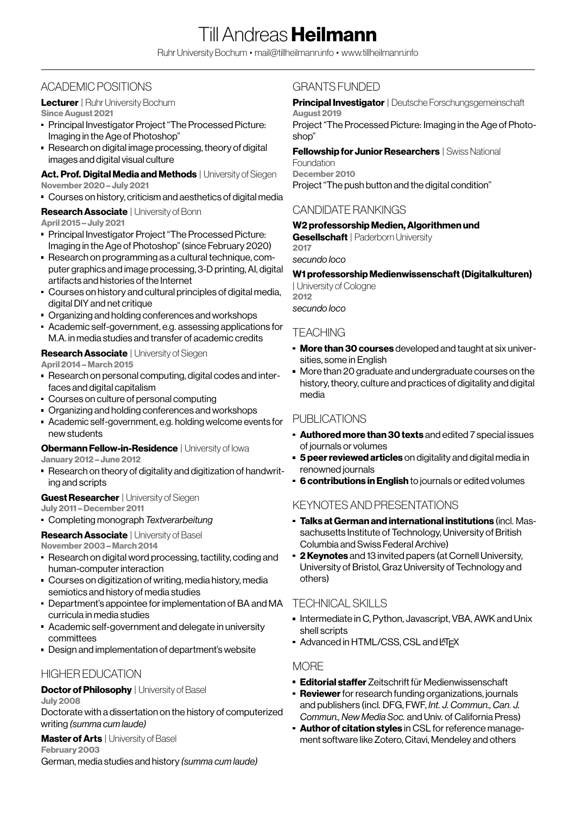# ACADEMIC POSITIONS

Lecturer | Ruhr University Bochum Since August 2021

- Principal Investigator Project "The Processed Picture: Imaging in the Age of Photoshop"
- Research on digital image processing, theory of digital images and digital visual culture

Act. Prof. Digital Media and Methods | University of Siegen November 2020 – July 2021

Courses on history, criticism and aesthetics of digital media

#### **Research Associate | University of Bonn** April 2015 – July 2021

- Principal Investigator Project "The Processed Picture: Imaging in the Age of Photoshop" (since February 2020)
- Research on programming as a cultural technique, computer graphics and image processing, 3-D printing, AI, digital artifacts and histories of the Internet
- Courses on history and cultural principles of digital media, digital DIY and net critique
- Organizing and holding conferences and workshops
- Academic self-government, e.g. assessing applications for M.A. in media studies and transfer of academic credits

### Research Associate | University of Siegen

### April 2014 – March 2015

- Research on personal computing, digital codes and interfaces and digital capitalism
- Courses on culture of personal computing
- Organizing and holding conferences and workshops
- Academic self-government, e.g. holding welcome events for new students

# **Obermann Fellow-in-Residence | University of Iowa**

January 2012 – June 2012

Research on theory of digitality and digitization of handwriting and scripts

### **Guest Researcher | University of Siegen**

July 2011 – December 2011

### **Completing monograph Textverarbeitung**

Research Associate | University of Basel

November 2003 – March 2014

- Research on digital word processing, tactility, coding and human-computer interaction
- Courses on digitization of writing, media history, media semiotics and history of media studies
- Department's appointee for implementation of BA and MA curricula in media studies
- Academic self-government and delegate in university committees
- Design and implementation of department's website

# HIGHER EDUCATION

**Doctor of Philosophy** | University of Basel

July 2008

Doctorate with a dissertation on the history of computerized writing (summa cum laude)

### **Master of Arts** | University of Basel

February 2003 German, media studies and history (summa cum laude)

# GRANTS FUNDED

### Principal Investigator | Deutsche Forschungsgemeinschaft August 2019

Project "The Processed Picture: Imaging in the Age of Photoshop"

### **Fellowship for Junior Researchers** | Swiss National Foundation

December 2010 Project "The push button and the digital condition"

# CANDIDATE RANKINGS

### W2 professorship Medien, Algorithmen und

Gesellschaft | Paderborn University 2017

secundo loco

# W1 professorship Medienwissenschaft (Digitalkulturen)

| University of Cologne 2012 secundo loco

## **TEACHING**

- **More than 30 courses** developed and taught at six universities, some in English
- More than 20 graduate and undergraduate courses on the history, theory, culture and practices of digitality and digital media

## PUBLICATIONS

- **Authored more than 30 texts** and edited 7 special issues of journals or volumes
- **5 peer reviewed articles** on digitality and digital media in renowned journals
- **6 contributions in English** to journals or edited volumes

# KEYNOTES AND PRESENTATIONS

- Talks at German and international institutions (incl. Massachusetts Institute of Technology, University of British Columbia and Swiss Federal Archive)
- **2 Keynotes** and 13 invited papers (at Cornell University, University of Bristol, Graz University of Technology and others)

## TECHNICAL SKILLS

- **Intermediate in C, Python, Javascript, VBA, AWK and Unix** shell scripts
- $\blacksquare$  Advanced in HTML/CSS, CSL and LATEX

## **MORE**

- **Editorial staffer** Zeitschrift für Medienwissenschaft
- **Reviewer** for research funding organizations, journals and publishers (incl. DFG, FWF, Int. J. Commun., Can. J. Commun., New Media Soc. and Univ. of California Press)
- **Author of citation styles** in CSL for reference management software like Zotero, Citavi, Mendeley and others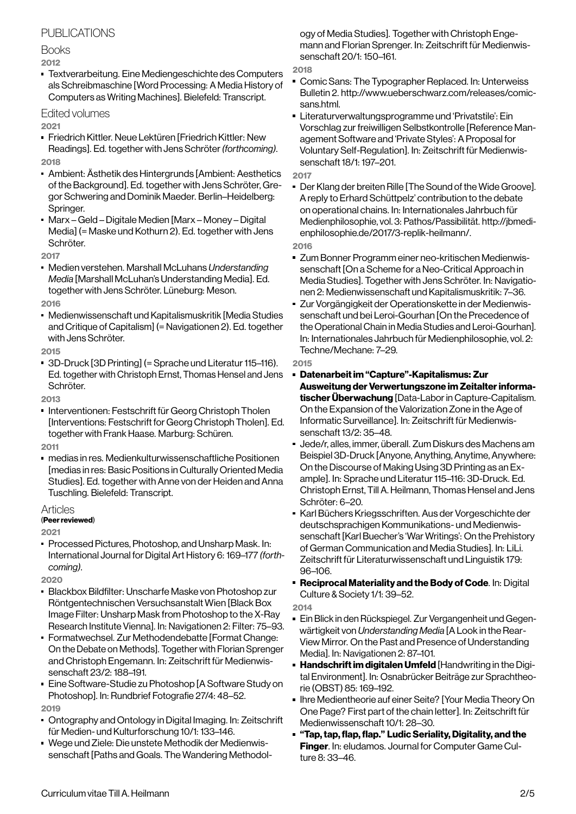## PUBLICATIONS

# Books

### 2012

Textverarbeitung. Eine Mediengeschichte des Computers als Schreibmaschine [Word Processing: A Media History of Computers as Writing Machines]. Bielefeld: Transcript.

Edited volumes

2021

- Friedrich Kittler. Neue Lektüren [Friedrich Kittler: New Readings]. Ed. together with Jens Schröter (forthcoming). 2018
- Ambient: Ästhetik des Hintergrunds [Ambient: Aesthetics of the Background]. Ed. together with Jens Schröter, Gregor Schwering and Dominik Maeder. Berlin–Heidelberg: Springer.
- Marx Geld Digitale Medien [Marx Money Digital Media] (= Maske und Kothurn 2). Ed. together with Jens Schröter.

2017

• Medien verstehen. Marshall McLuhans Understanding Media [Marshall McLuhan's Understanding Media]. Ed. together with Jens Schröter. Lüneburg: Meson.

2016

Medienwissenschaft und Kapitalismuskritik [Media Studies and Critique of Capitalism] (= Navigationen 2). Ed. together with Jens Schröter.

2015

3D-Druck [3D Printing] (= Sprache und Literatur 115–116). Ed. together with Christoph Ernst, Thomas Hensel and Jens Schröter.

2013

• Interventionen: Festschrift für Georg Christoph Tholen [Interventions: Festschrift for Georg Christoph Tholen]. Ed. together with Frank Haase. Marburg: Schüren.

2011

medias in res. Medienkulturwissenschaftliche Positionen [medias in res: Basic Positions in Culturally Oriented Media Studies]. Ed. together with Anne von der Heiden and Anna Tuschling. Bielefeld: Transcript.

## Articles

### (Peer reviewed)

2021

**Processed Pictures, Photoshop, and Unsharp Mask. In:** International Journal for Digital Art History 6: 169–177 (forthcoming).

2020

- Blackbox Bildfilter: Unscharfe Maske von Photoshop zur Röntgentechnischen Versuchsanstalt Wien [Black Box Image Filter: Unsharp Mask from Photoshop to the X-Ray Research Institute Vienna]. In: Navigationen 2: Filter: 75–93.
- Formatwechsel. Zur Methodendebatte [Format Change: On the Debate on Methods]. Together with Florian Sprenger and Christoph Engemann. In: Zeitschrift für Medienwissenschaft 23/2: 188–191.
- Eine Software-Studie zu Photoshop [A Software Study on Photoshop]. In: Rundbrief Fotografie 27/4: 48–52.

2019

- Ontography and Ontology in Digital Imaging. In: Zeitschrift für Medien- und Kulturforschung 10/1: 133–146.
- Wege und Ziele: Die unstete Methodik der Medienwissenschaft [Paths and Goals. The Wandering Methodol-

ogy of Media Studies]. Together with Christoph Engemann and Florian Sprenger. In: Zeitschrift für Medienwissenschaft 20/1: 150–161.

### 2018

- Comic Sans: The Typographer Replaced. In: Unterweiss Bulletin 2. [http://www.ueberschwarz.com/releases/comic](http://www.ueberschwarz.com/releases/comicsans.html)[sans.html.](http://www.ueberschwarz.com/releases/comicsans.html)
- Literaturverwaltungsprogramme und 'Privatstile': Ein Vorschlag zur freiwilligen Selbstkontrolle [Reference Management Software and 'Private Styles': A Proposal for Voluntary Self-Regulation]. In: Zeitschrift für Medienwissenschaft 18/1: 197–201.

2017

Der Klang der breiten Rille [The Sound of the Wide Groove]. A reply to Erhard Schüttpelz' contribution to the debate on operational chains. In: Internationales Jahrbuch für Medienphilosophie, vol. 3: Pathos/Passibilität. [http://jbmedi](http://jbmedienphilosophie.de/2017/3-replik-heilmann/)[enphilosophie.de/2017/3-replik-heilmann/.](http://jbmedienphilosophie.de/2017/3-replik-heilmann/)

2016

- Zum Bonner Programm einer neo-kritischen Medienwissenschaft [On a Scheme for a Neo-Critical Approach in Media Studies]. Together with Jens Schröter. In: Navigationen 2: Medienwissenschaft und Kapitalismuskritik: 7–36.
- Zur Vorgängigkeit der Operationskette in der Medienwissenschaft und bei Leroi-Gourhan [On the Precedence of the Operational Chain in Media Studies and Leroi-Gourhan]. In: Internationales Jahrbuch für Medienphilosophie, vol. 2: Techne/Mechane: 7–29.

2015

- $\blacksquare$ Datenarbeit im "Capture"-Kapitalismus: Zur Ausweitung der Verwertungszone im Zeitalter informatischer Überwachung [Data-Labor in Capture-Capitalism. On the Expansion of the Valorization Zone in the Age of Informatic Surveillance]. In: Zeitschrift für Medienwissenschaft 13/2: 35–48.
- Jede/r, alles, immer, überall. Zum Diskurs des Machens am Beispiel 3D-Druck [Anyone, Anything, Anytime, Anywhere: On the Discourse of Making Using 3D Printing as an Example]. In: Sprache und Literatur 115–116: 3D-Druck. Ed. Christoph Ernst, Till A. Heilmann, Thomas Hensel and Jens Schröter: 6–20.
- Karl Büchers Kriegsschriften. Aus der Vorgeschichte der deutschsprachigen Kommunikations- und Medienwissenschaft [Karl Buecher's 'War Writings': On the Prehistory of German Communication and Media Studies]. In: LiLi. Zeitschrift für Literaturwissenschaft und Linguistik 179: 96–106.
- **Reciprocal Materiality and the Body of Code. In: Digital** Culture & Society 1/1: 39–52.

2014

- Ein Blick in den Rückspiegel. Zur Vergangenheit und Gegenwärtigkeit von Understanding Media [A Look in the Rear-View Mirror. On the Past and Presence of Understanding Media]. In: Navigationen 2: 87–101.
- Handschrift im digitalen Umfeld [Handwriting in the Digital Environment]. In: Osnabrücker Beiträge zur Sprachtheorie (OBST) 85: 169–192.
- Ihre Medientheorie auf einer Seite? [Your Media Theory On One Page? First part of the chain letter]. In: Zeitschrift für Medienwissenschaft 10/1: 28–30.
- "Tap, tap, flap, flap." Ludic Seriality, Digitality, and the Finger. In: eludamos. Journal for Computer Game Culture 8: 33–46.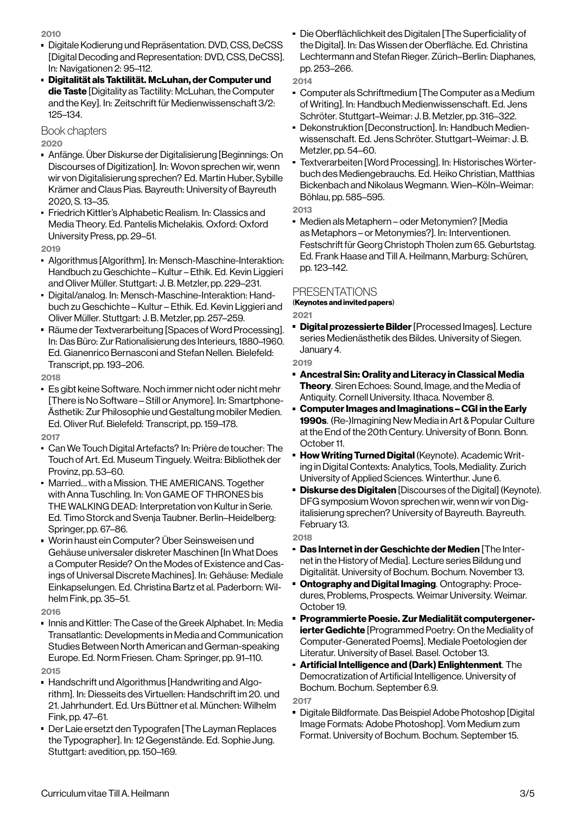2010

- Digitale Kodierung und Repräsentation. DVD, CSS, DeCSS [Digital Decoding and Representation: DVD, CSS, DeCSS]. In: Navigationen 2: 95–112.
- Digitalität als Taktilität. McLuhan, der Computer und die Taste [Digitality as Tactility: McLuhan, the Computer and the Key]. In: Zeitschrift für Medienwissenschaft 3/2: 125–134.

### Book chapters

2020

- Anfänge. Über Diskurse der Digitalisierung [Beginnings: On Discourses of Digitization]. In: Wovon sprechen wir, wenn wir von Digitalisierung sprechen? Ed. Martin Huber, Sybille Krämer and Claus Pias. Bayreuth: University of Bayreuth 2020, S. 13–35.
- Friedrich Kittler's Alphabetic Realism. In: Classics and Media Theory. Ed. Pantelis Michelakis. Oxford: Oxford University Press, pp. 29–51.

2019

- Algorithmus [Algorithm]. In: Mensch-Maschine-Interaktion: Handbuch zu Geschichte – Kultur – Ethik. Ed. Kevin Liggieri and Oliver Müller. Stuttgart: J. B. Metzler, pp. 229–231.
- Digital/analog. In: Mensch-Maschine-Interaktion: Handbuch zu Geschichte – Kultur – Ethik. Ed. Kevin Liggieri and Oliver Müller. Stuttgart: J. B. Metzler, pp. 257–259.
- Räume der Textverarbeitung [Spaces of Word Processing]. In: Das Büro: Zur Rationalisierung des Interieurs, 1880–1960. Ed. Gianenrico Bernasconi and Stefan Nellen. Bielefeld: Transcript, pp. 193–206.

2018

Es gibt keine Software. Noch immer nicht oder nicht mehr [There is No Software – Still or Anymore]. In: Smartphone-Ästhetik: Zur Philosophie und Gestaltung mobiler Medien. Ed. Oliver Ruf. Bielefeld: Transcript, pp. 159–178.

2017

- Can We Touch Digital Artefacts? In: Prière de toucher: The Touch of Art. Ed. Museum Tinguely. Weitra: Bibliothek der Provinz, pp. 53–60.
- Married… with a Mission. THE AMERICANS. Together with Anna Tuschling. In: Von GAME OF THRONES bis THE WALKING DEAD: Interpretation von Kultur in Serie. Ed. Timo Storck and Svenja Taubner. Berlin–Heidelberg: Springer, pp. 67–86.
- Worin haust ein Computer? Über Seinsweisen und Gehäuse universaler diskreter Maschinen [In What Does a Computer Reside? On the Modes of Existence and Casings of Universal Discrete Machines]. In: Gehäuse: Mediale Einkapselungen. Ed. Christina Bartz et al. Paderborn: Wilhelm Fink, pp. 35–51.

2016

- **Innis and Kittler: The Case of the Greek Alphabet. In: Media** Transatlantic: Developments in Media and Communication Studies Between North American and German-speaking Europe. Ed. Norm Friesen. Cham: Springer, pp. 91–110. 2015
- Handschrift und Algorithmus [Handwriting and Algorithm]. In: Diesseits des Virtuellen: Handschrift im 20. und 21. Jahrhundert. Ed. Urs Büttner et al. München: Wilhelm Fink, pp. 47–61.
- Der Laie ersetzt den Typografen [The Layman Replaces the Typographer]. In: 12 Gegenstände. Ed. Sophie Jung. Stuttgart: avedition, pp. 150–169.

Die Oberflächlichkeit des Digitalen [The Superficiality of the Digital]. In: Das Wissen der Oberfläche. Ed. Christina Lechtermann and Stefan Rieger. Zürich–Berlin: Diaphanes, pp. 253–266.

#### 2014

- Computer als Schriftmedium [The Computer as a Medium of Writing]. In: Handbuch Medienwissenschaft. Ed. Jens Schröter. Stuttgart–Weimar: J. B. Metzler, pp. 316–322.
- Dekonstruktion [Deconstruction]. In: Handbuch Medienwissenschaft. Ed. Jens Schröter. Stuttgart–Weimar: J. B. Metzler, pp. 54–60.
- Textverarbeiten [Word Processing]. In: Historisches Wörterbuch des Mediengebrauchs. Ed. Heiko Christian, Matthias Bickenbach and Nikolaus Wegmann. Wien–Köln–Weimar: Böhlau, pp. 585–595.

2013

Medien als Metaphern – oder Metonymien? [Media as Metaphors – or Metonymies?]. In: Interventionen. Festschrift für Georg Christoph Tholen zum 65. Geburtstag. Ed. Frank Haase and Till A. Heilmann, Marburg: Schüren, pp. 123–142.

### **PRESENTATIONS**

(Keynotes and invited papers)

2021

Digital prozessierte Bilder[Processed Images]. Lecture series Medienästhetik des Bildes. University of Siegen. January 4.

2019

- Ancestral Sin: Orality and Literacy in Classical Media Theory. Siren Echoes: Sound, Image, and the Media of Antiquity. Cornell University. Ithaca. November 8.
- Computer Images and Imaginations CGI in the Early 1990s. (Re-)Imagining New Media in Art & Popular Culture at the End of the 20th Century. University of Bonn. Bonn. October 11.
- **How Writing Turned Digital** (Keynote). Academic Writing in Digital Contexts: Analytics, Tools, Mediality. Zurich University of Applied Sciences. Winterthur. June 6.
- **Diskurse des Digitalen** [Discourses of the Digital] (Keynote). DFG symposium Wovon sprechen wir, wenn wir von Digitalisierung sprechen? University of Bayreuth. Bayreuth. February 13.

2018

- Das Internet in der Geschichte der Medien [The Internet in the History of Media]. Lecture series Bildung und Digitalität. University of Bochum. Bochum. November 13.
- **Ontography and Digital Imaging. Ontography: Proce**dures, Problems, Prospects. Weimar University. Weimar. October 19.
- Programmierte Poesie. Zur Medialität computergenerierter Gedichte [Programmed Poetry: On the Mediality of Computer-Generated Poems]. Mediale Poetologien der Literatur. University of Basel. Basel. October 13.
- Artificial Intelligence and (Dark) Enlightenment. The Democratization of Artificial Intelligence. University of Bochum. Bochum. September 6.9.

2017

Digitale Bildformate. Das Beispiel Adobe Photoshop [Digital Image Formats: Adobe Photoshop]. Vom Medium zum Format. University of Bochum. Bochum. September 15.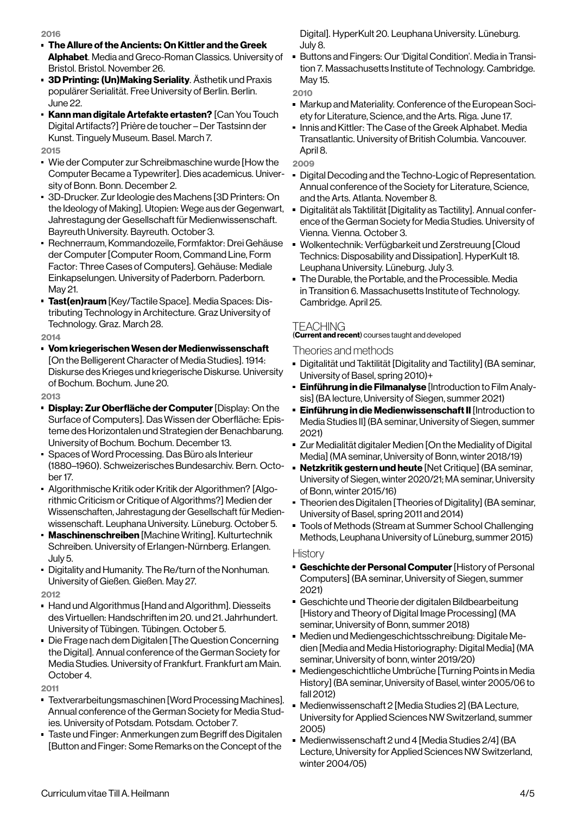2016

- The Allure of the Ancients: On Kittler and the Greek Alphabet. Media and Greco-Roman Classics. University of Bristol. Bristol. November 26.
- **3D Printing: (Un)Making Seriality**. Ästhetik und Praxis populärer Serialität. Free University of Berlin. Berlin. June 22.
- Kann man digitale Artefakte ertasten? [Can You Touch Digital Artifacts?] Prière de toucher – Der Tastsinn der Kunst. Tinguely Museum. Basel. March 7.

2015

- Wie der Computer zur Schreibmaschine wurde [How the Computer Became a Typewriter]. Dies academicus. University of Bonn. Bonn. December 2.
- 3D-Drucker. Zur Ideologie des Machens [3D Printers: On Jahrestagung der Gesellschaft für Medienwissenschaft. Bayreuth University. Bayreuth. October 3.
- Rechnerraum, Kommandozeile, Formfaktor: Drei Gehäuse der Computer [Computer Room, Command Line, Form Factor: Three Cases of Computers]. Gehäuse: Mediale Einkapselungen. University of Paderborn. Paderborn. May 21.
- **Tast(en)raum** [Key/Tactile Space]. Media Spaces: Distributing Technology in Architecture. Graz University of Technology. Graz. March 28.

2014

Vom kriegerischenWesen der Medienwissenschaft [On the Belligerent Character of Media Studies]. 1914: Diskurse des Krieges und kriegerische Diskurse. University of Bochum. Bochum. June 20.

2013

- **Display: Zur Oberfläche der Computer** [Display: On the Surface of Computers]. Das Wissen der Oberfläche: Episteme des Horizontalen und Strategien der Benachbarung. University of Bochum. Bochum. December 13.
- Spaces of Word Processing. Das Büro als Interieur (1880–1960). Schweizerisches Bundesarchiv. Bern. October 17.
- Algorithmische Kritik oder Kritik der Algorithmen? [Algorithmic Criticism or Critique of Algorithms?] Medien der Wissenschaften, Jahrestagung der Gesellschaft für Medienwissenschaft. Leuphana University. Lüneburg. October 5.
- Maschinenschreiben [Machine Writing]. Kulturtechnik Schreiben. University of Erlangen-Nürnberg. Erlangen. July 5.
- Digitality and Humanity. The Re/turn of the Nonhuman. University of Gießen. Gießen. May 27.

2012

- Hand und Algorithmus [Hand and Algorithm]. Diesseits des Virtuellen: Handschriften im 20. und 21. Jahrhundert. University of Tübingen. Tübingen. October 5.
- Die Frage nach dem Digitalen [The Question Concerning the Digital]. Annual conference of the German Society for Media Studies. University of Frankfurt. Frankfurt am Main. October 4.

2011

- Textverarbeitungsmaschinen [Word Processing Machines]. Annual conference of the German Society for Media Studies. University of Potsdam. Potsdam. October 7.
- Taste und Finger: Anmerkungen zum Begriff des Digitalen [Button and Finger: Some Remarks on the Concept of the

Digital]. HyperKult 20. Leuphana University. Lüneburg. July 8.

j, Buttons and Fingers: Our 'Digital Condition'. Media in Transition 7. Massachusetts Institute of Technology. Cambridge. May 15.

2010

- Markup and Materiality. Conference of the European Society for Literature, Science, and the Arts. Riga. June 17.
- **Innis and Kittler: The Case of the Greek Alphabet. Media** Transatlantic. University of British Columbia. Vancouver. April 8.

2009

- Digital Decoding and the Techno-Logic of Representation. Annual conference of the Society for Literature, Science, and the Arts. Atlanta. November 8.
- the Ideology of Making]. Utopien: Wege aus der Gegenwart,  $\quad \bullet \quad$  Digitalität als Taktilität [Digitality as Tactility]. Annual conference of the German Society for Media Studies. University of Vienna. Vienna. October 3.
	- Wolkentechnik: Verfügbarkeit und Zerstreuung [Cloud Technics: Disposability and Dissipation]. HyperKult 18. Leuphana University. Lüneburg. July 3.
	- The Durable, the Portable, and the Processible. Media in Transition 6. Massachusetts Institute of Technology. Cambridge. April 25.

# **TFACHING**

(Current and recent) courses taught and developed

Theories and methods

- Digitalität und Taktilität [Digitality and Tactility] (BA seminar, University of Basel, spring 2010)+
- **Einführung in die Filmanalyse** [Introduction to Film Analysis] (BA lecture, University of Siegen, summer 2021)
- **Einführung in die Medienwissenschaft II** [Introduction to Media Studies II] (BA seminar, University of Siegen, summer 2021)
- **Example 2 Transformalish 2 Transform 2 Transform 2 Transformalisher** 2 Transformalism 2 Zur Medialital Media] (MA seminar, University of Bonn, winter 2018/19)
- Netzkritik gestern und heute [Net Critique] (BA seminar,  $\blacksquare$ University of Siegen, winter 2020/21; MA seminar, University of Bonn, winter 2015/16)
- Theorien des Digitalen [Theories of Digitality] (BA seminar, University of Basel, spring 2011 and 2014)
- Tools of Methods (Stream at Summer School Challenging Methods, Leuphana University of Lüneburg, summer 2015)

## **History**

- **Geschichte der Personal Computer** [History of Personal Computers] (BA seminar, University of Siegen, summer 2021)
- Geschichte und Theorie der digitalen Bildbearbeitung [History and Theory of Digital Image Processing] (MA seminar, University of Bonn, summer 2018)
- Medien und Mediengeschichtsschreibung: Digitale Medien [Media and Media Historiography: Digital Media] (MA seminar, University of bonn, winter 2019/20)
- Mediengeschichtliche Umbrüche [Turning Points in Media History] (BA seminar, University of Basel, winter 2005/06 to fall 2012)
- Medienwissenschaft 2 [Media Studies 2] (BA Lecture, University for Applied Sciences NW Switzerland, summer 2005)
- Medienwissenschaft 2 und 4 [Media Studies 2/4] (BA Lecture, University for Applied Sciences NW Switzerland, winter 2004/05)